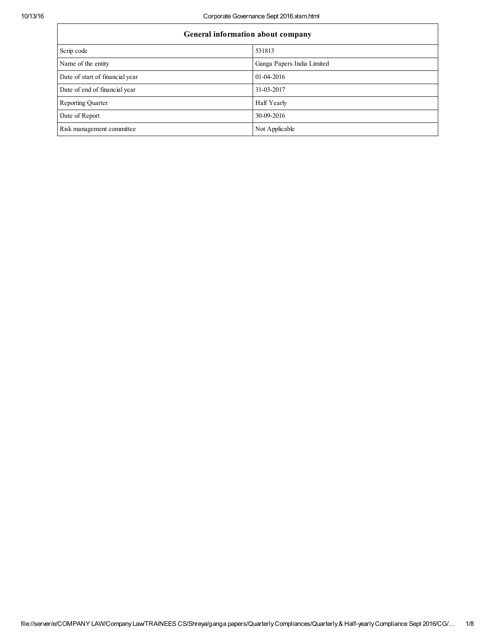| General information about company |                            |  |  |
|-----------------------------------|----------------------------|--|--|
| Scrip code                        | 531813                     |  |  |
| Name of the entity                | Ganga Papers India Limited |  |  |
| Date of start of financial year   | $01-04-2016$               |  |  |
| Date of end of financial year     | 31-03-2017                 |  |  |
| <b>Reporting Quarter</b>          | Half Yearly                |  |  |
| Date of Report                    | 30-09-2016                 |  |  |
| Risk management committee         | Not Applicable             |  |  |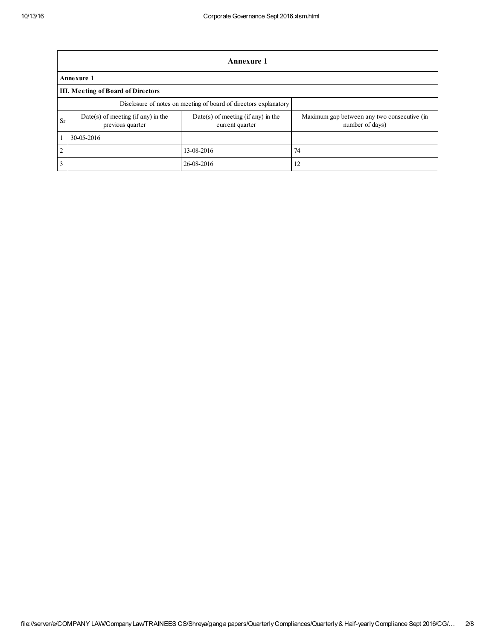|                | <b>Annexure 1</b>                                                |                                                         |                                                                |  |  |
|----------------|------------------------------------------------------------------|---------------------------------------------------------|----------------------------------------------------------------|--|--|
|                | Annexure 1                                                       |                                                         |                                                                |  |  |
|                | <b>III. Meeting of Board of Directors</b>                        |                                                         |                                                                |  |  |
|                | Disclosure of notes on meeting of board of directors explanatory |                                                         |                                                                |  |  |
| <b>Sr</b>      | $Date(s)$ of meeting (if any) in the<br>previous quarter         | $Date(s)$ of meeting (if any) in the<br>current quarter | Maximum gap between any two consecutive (in<br>number of days) |  |  |
|                | 30-05-2016                                                       |                                                         |                                                                |  |  |
| $\overline{2}$ |                                                                  | 13-08-2016                                              | 74                                                             |  |  |
| 3              |                                                                  | 26-08-2016                                              | 12                                                             |  |  |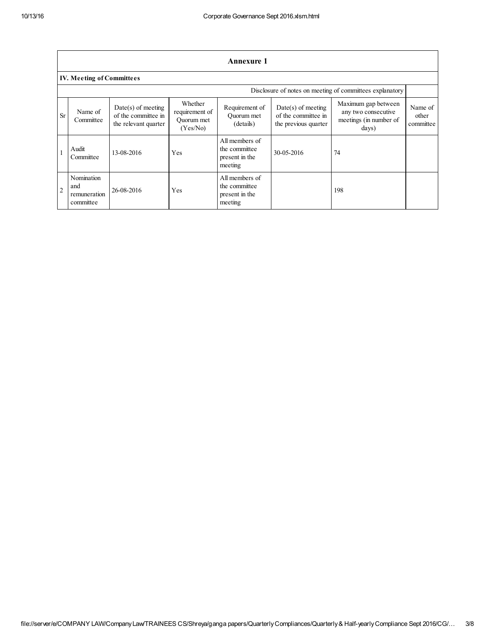|                | Annexure 1                                               |                                                                     |                                                     |                                                              |                                                                     |                                                                               |                               |
|----------------|----------------------------------------------------------|---------------------------------------------------------------------|-----------------------------------------------------|--------------------------------------------------------------|---------------------------------------------------------------------|-------------------------------------------------------------------------------|-------------------------------|
|                | <b>IV. Meeting of Committees</b>                         |                                                                     |                                                     |                                                              |                                                                     |                                                                               |                               |
|                | Disclosure of notes on meeting of committees explanatory |                                                                     |                                                     |                                                              |                                                                     |                                                                               |                               |
| <b>Sr</b>      | Name of<br>Committee                                     | $Date(s)$ of meeting<br>of the committee in<br>the relevant quarter | Whether<br>requirement of<br>Quorum met<br>(Yes/No) | Requirement of<br>Ouorum met<br>(details)                    | $Date(s)$ of meeting<br>of the committee in<br>the previous quarter | Maximum gap between<br>any two consecutive<br>meetings (in number of<br>days) | Name of<br>other<br>committee |
|                | Audit<br>Committee                                       | 13-08-2016                                                          | Yes                                                 | All members of<br>the committee<br>present in the<br>meeting | 30-05-2016                                                          | 74                                                                            |                               |
| $\overline{2}$ | Nomination<br>and<br>remuneration<br>committee           | 26-08-2016                                                          | Yes                                                 | All members of<br>the committee<br>present in the<br>meeting |                                                                     | 198                                                                           |                               |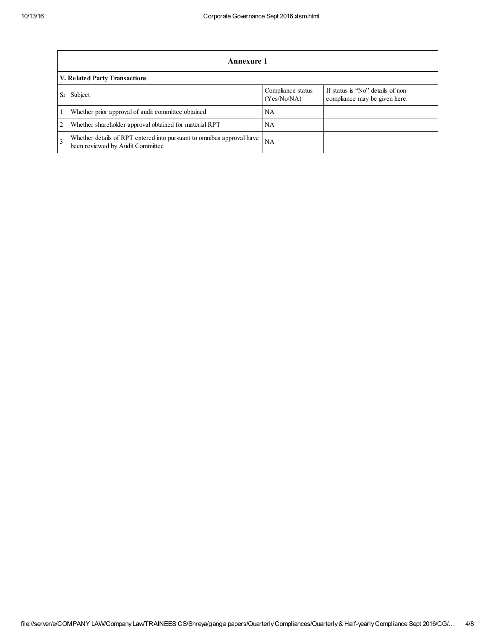|                               | Annexure 1                                                                                                |                                  |                                                                    |  |
|-------------------------------|-----------------------------------------------------------------------------------------------------------|----------------------------------|--------------------------------------------------------------------|--|
| V. Related Party Transactions |                                                                                                           |                                  |                                                                    |  |
| Sr                            | Subject                                                                                                   | Compliance status<br>(Yes/No/NA) | If status is "No" details of non-<br>compliance may be given here. |  |
|                               | Whether prior approval of audit committee obtained                                                        | NΑ                               |                                                                    |  |
| $\overline{c}$                | Whether shareholder approval obtained for material RPT                                                    | NΑ                               |                                                                    |  |
| $\mathbf{3}$                  | Whether details of RPT entered into pursuant to omnibus approval have<br>been reviewed by Audit Committee | NA                               |                                                                    |  |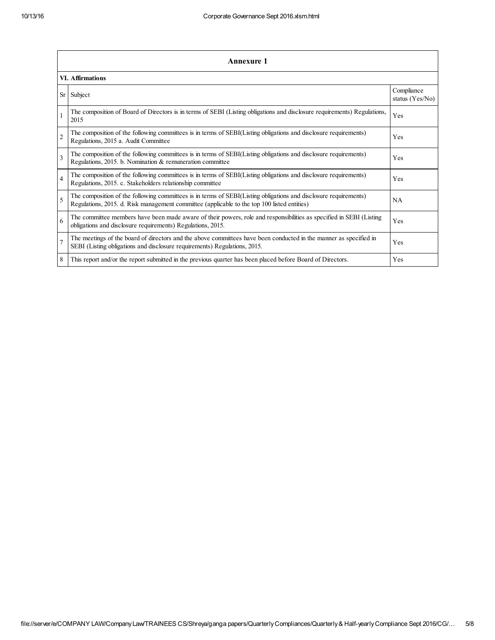|                | <b>Annexure 1</b>                                                                                                                                                                                               |           |  |  |  |  |
|----------------|-----------------------------------------------------------------------------------------------------------------------------------------------------------------------------------------------------------------|-----------|--|--|--|--|
|                | VI. Affirmations                                                                                                                                                                                                |           |  |  |  |  |
| <b>Sr</b>      | Subject                                                                                                                                                                                                         |           |  |  |  |  |
|                | The composition of Board of Directors is in terms of SEBI (Listing obligations and disclosure requirements) Regulations,<br>2015                                                                                | Yes       |  |  |  |  |
| $\overline{c}$ | The composition of the following committees is in terms of SEBI(Listing obligations and disclosure requirements)<br>Regulations, 2015 a. Audit Committee                                                        | Yes       |  |  |  |  |
| 3              | The composition of the following committees is in terms of SEBI(Listing obligations and disclosure requirements)<br>Regulations, 2015. b. Nomination & remuneration committee                                   | Yes       |  |  |  |  |
| $\overline{4}$ | The composition of the following committees is in terms of SEBI(Listing obligations and disclosure requirements)<br>Regulations, 2015. c. Stakeholders relationship committee                                   | Yes       |  |  |  |  |
| 5              | The composition of the following committees is in terms of SEBI(Listing obligations and disclosure requirements)<br>Regulations, 2015. d. Risk management committee (applicable to the top 100 listed entities) | <b>NA</b> |  |  |  |  |
| 6              | The committee members have been made aware of their powers, role and responsibilities as specified in SEBI (Listing<br>obligations and disclosure requirements) Regulations, 2015.                              | Yes       |  |  |  |  |
| $\overline{7}$ | The meetings of the board of directors and the above committees have been conducted in the manner as specified in<br>SEBI (Listing obligations and disclosure requirements) Regulations, 2015.                  | Yes       |  |  |  |  |
| 8              | This report and/or the report submitted in the previous quarter has been placed before Board of Directors.                                                                                                      | Yes       |  |  |  |  |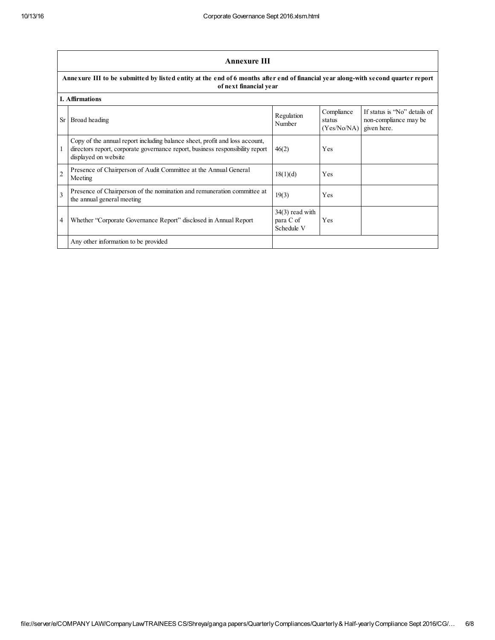|                | <b>Annexure III</b><br>Annexure III to be submitted by listed entity at the end of 6 months after end of financial year along-with second quarter report<br>of next financial year   |                                              |                                     |                                                                      |  |
|----------------|--------------------------------------------------------------------------------------------------------------------------------------------------------------------------------------|----------------------------------------------|-------------------------------------|----------------------------------------------------------------------|--|
|                |                                                                                                                                                                                      |                                              |                                     |                                                                      |  |
|                | <b>I. Affirmations</b>                                                                                                                                                               |                                              |                                     |                                                                      |  |
| <b>Sr</b>      | Broad heading                                                                                                                                                                        | Regulation<br>Number                         | Compliance<br>status<br>(Yes/No/NA) | If status is "No" details of<br>non-compliance may be<br>given here. |  |
|                | Copy of the annual report including balance sheet, profit and loss account,<br>directors report, corporate governance report, business responsibility report<br>displayed on website | 46(2)                                        | Yes                                 |                                                                      |  |
| $\overline{2}$ | Presence of Chairperson of Audit Committee at the Annual General<br>Meeting                                                                                                          | 18(1)(d)                                     | Yes                                 |                                                                      |  |
| $\mathbf{3}$   | Presence of Chairperson of the nomination and remuneration committee at<br>the annual general meeting                                                                                | 19(3)                                        | Yes                                 |                                                                      |  |
| 4              | Whether "Corporate Governance Report" disclosed in Annual Report                                                                                                                     | $34(3)$ read with<br>para C of<br>Schedule V | Yes                                 |                                                                      |  |
|                | Any other information to be provided                                                                                                                                                 |                                              |                                     |                                                                      |  |